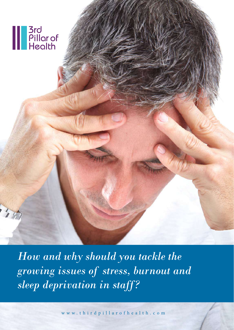

*How and why should you tackle the growing issues of stress, burnout and sleep deprivation in staff?*

www.thirdpillarofhealth.com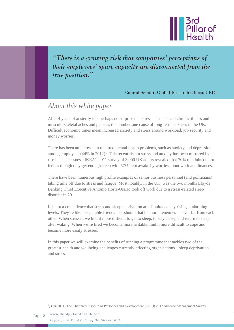

*"There is a growing risk that companies' perceptions of their employees' spare capacity are disconnected from the true position.*"

Conrad Scmidt, Global Research Officer, CEB

## *About this white paper*

After 4 years of austerity it is perhaps no surprise that stress has displaced chronic illness and musculo-skeletal aches and pains as the number one cause of long-term sickness in the UK. Difficult economic times mean increased anxiety and stress around workload, job security and money worries.

There has been an increase in reported mental health problems, such as anxiety and depression among employees  $(44\%$  in  $2012)^1$ . This recent rise in stress and anxiety has been mirrored by a rise in sleeplessness. IKEA's 2011 survey of 3,000 UK adults revealed that 70% of adults do not feel as though they get enough sleep with 57% kept awake by worries about work and finances.

There have been numerous high profile examples of senior business personnel (and politicians) taking time off due to stress and fatigue. Most notably, in the UK, was the two months Lloyds Banking Chief Executive Antonio Horta-Osario took off work due to a stress-related sleep disorder in 2011.

It is not a coincidence that stress and sleep deprivation are simultaneously rising at alarming levels. They're like inseparable friends – or should that be mortal enemies – never far from each other. When stressed we find it more difficult to get to sleep, to stay asleep and return to sleep after waking. When we're tired we become more irritable, find it more difficult to cope and become more easily stressed.

In this paper we will examine the benefits of running a programme that tackles two of the greatest health and wellbeing challenges currently affecting organisations – sleep deprivation and stress.

1(39% 2011) The Chartered Institute of Personnel and Development (CIPD) 2012 Absence Management Survey.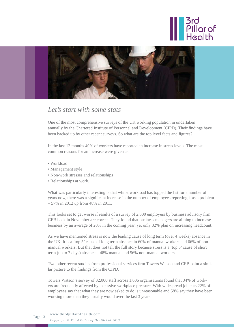



### *Let's start with some stats*

One of the most comprehensive surveys of the UK working population in undertaken annually by the Chartered Institute of Personnel and Development (CIPD). Their findings have been backed up by other recent surveys. So what are the top level facts and figures?

In the last 12 months 40% of workers have reported an increase in stress levels. The most common reasons for an increase were given as:

- Workload
- Management style
- Non-work stresses and relationships
- Relationships at work.

What was particularly interesting is that whilst workload has topped the list for a number of years now, there was a significant increase in the number of employees reporting it as a problem – 57% in 2012 up from 48% in 2011.

This looks set to get worse if results of a survey of 2,000 employers by business advisory firm CEB back in November are correct. They found that business managers are aiming to increase business by an average of 20% in the coming year, yet only 32% plan on increasing headcount.

As we have mentioned stress is now the leading cause of long term (over 4 weeks) absence in the UK. It is a 'top 5' cause of long term absence in 60% of manual workers and 66% of nonmanual workers. But that does not tell the full story because stress is a 'top 5' cause of short term (up to 7 days) absence – 48% manual and 56% non-manual workers.

Two other recent studies from professional services firm Towers Watson and CEB paint a similar picture to the findings from the CIPD.

Towers Watson's survey of 32,000 staff across 1,606 organisations found that 34% of workers are frequently affected by excessive workplace pressure. With widespread job cuts 22% of employees say that what they are now asked to do is unreasonable and 58% say they have been working more than they usually would over the last 3 years.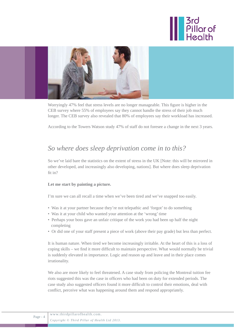



Worryingly 47% feel that stress levels are no longer manageable. This figure is higher in the CEB survey where 55% of employees say they cannot handle the stress of their job much longer. The CEB survey also revealed that 80% of employees say their workload has increased.

According to the Towers Watson study 47% of staff do not foresee a change in the next 3 years.

## *So where does sleep deprivation come in to this?*

So we've laid bare the statistics on the extent of stress in the UK [Note: this will be mirrored in other developed, and increasingly also developing, nations]. But where does sleep deprivation fit in?

#### **Let me start by painting a picture.**

I'm sure we can all recall a time when we've been tired and we've snapped too easily.

- Was it at your partner because they're not telepathic and 'forgot' to do something
- Was it at your child who wanted your attention at the 'wrong' time
- Perhaps your boss gave an unfair critique of the work you had been up half the night completing
- Or did one of your staff present a piece of work (above their pay grade) but less than perfect.

It is human nature. When tired we become increasingly irritable. At the heart of this is a loss of coping skills – we find it more difficult to maintain perspective. What would normally be trivial is suddenly elevated in importance. Logic and reason up and leave and in their place comes irrationality.

We also are more likely to feel threatened. A case study from policing the Montreal tuition fee riots suggested this was the case in officers who had been on duty for extended periods. The case study also suggested officers found it more difficult to control their emotions, deal with conflict, perceive what was happening around them and respond appropriately.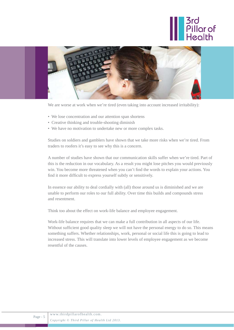



We are worse at work when we're tired (even taking into account increased irritability):

- We lose concentration and our attention span shortens
- Creative thinking and trouble-shooting diminish
- We have no motivation to undertake new or more complex tasks.

Studies on soldiers and gamblers have shown that we take more risks when we're tired. From traders to roofers it's easy to see why this is a concern.

A number of studies have shown that our communication skills suffer when we're tired. Part of this is the reduction in our vocabulary. As a result you might lose pitches you would previously win. You become more threatened when you can't find the words to explain your actions. You find it more difficult to express yourself subtly or sensitively.

In essence our ability to deal cordially with (all) those around us is diminished and we are unable to perform our roles to our full ability. Over time this builds and compounds stress and resentment.

Think too about the effect on work-life balance and employee engagement.

Work-life balance requires that we can make a full contribution in all aspects of our life. Without sufficient good quality sleep we will not have the personal energy to do so. This means something suffers. Whether relationships, work, personal or social life this is going to lead to increased stress. This will translate into lower levels of employee engagement as we become resentful of the causes.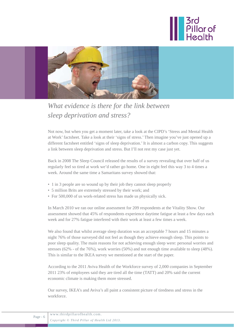



*What evidence is there for the link between sleep deprivation and stress?*

Not now, but when you get a moment later, take a look at the CIPD's 'Stress and Mental Health at Work' factsheet. Take a look at their 'signs of stress.' Then imagine you've just opened up a different factsheet entitled 'signs of sleep deprivation.' It is almost a carbon copy. This suggests a link between sleep deprivation and stress. But I'll not rest my case just yet.

Back in 2008 The Sleep Council released the results of a survey revealing that over half of us regularly feel so tired at work we'd rather go home. One in eight feel this way 3 to 4 times a week. Around the same time a Samaritans survey showed that:

- 1 in 3 people are so wound up by their job they cannot sleep properly
- 5 million Brits are extremely stressed by their work; and
- For 500,000 of us work-related stress has made us physically sick.

In March 2010 we ran our online assessment for 209 respondents at the Vitality Show. Our assessment showed that 45% of respondents experience daytime fatigue at least a few days each week and for 27% fatigue interfered with their work at least a few times a week.

We also found that whilst average sleep duration was an acceptable 7 hours and 15 minutes a night 76% of those surveyed did not feel as though they achieve enough sleep. This points to poor sleep quality. The main reasons for not achieving enough sleep were: personal worries and stresses (62% - of the 76%), work worries (50%) and not enough time available to sleep (48%). This is similar to the IKEA survey we mentioned at the start of the paper.

According to the 2011 Aviva Health of the Workforce survey of 2,000 companies in September 2011 23% of employees said they are tired all the time (TATT) and 20% said the current economic climate is making them more stressed.

Our survey, IKEA's and Aviva's all paint a consistent picture of tiredness and stress in the workforce.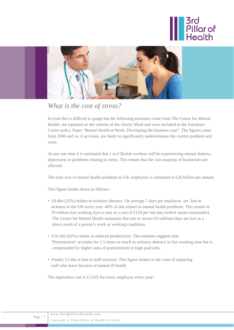



## *What is the cost of stress?*

In truth this is difficult to gauge but the following estimates come from The Centre for Mental Health, are repeated on the website of the charity Mind and were included in the Sainsbury Centre policy Paper 'Mental Health at Work: Developing the business case". The figures come from 2006 and so, if accurate, are likely to significantly underestimate the current problem and costs.

At any one time it is estimated that 1 in 6 British workers will be experiencing mental distress, depression or problems relating to stress. This means that the vast majority of businesses are affected.

The total cost of mental health problems to UK employers is estimated at £26 billion per annum.

This figure breaks down as follows:

- £8.4bn (32%) relates to sickness absence. On average 7 days per employee are lost to sickness in the UK every year. 40% of this relates to mental health problems. This results in 70 million lost working days a year at a cost of £120 per lost day (which seems reasonable). The Centre for Mental Health maintains that one in seven (10 million) days are lost as a direct result of a person's work or working conditions.
- £16.1bn (62%) relates to reduced productivity. The estimate suggests that 'Presenteeism' accounts for 1.5 times as much as sickness absence in lost working time but is compounded by higher rates of presenteeism in high paid jobs.
- Finally £2.4bn is lost in staff turnover. This figure relates to the costs of replacing staff who leave because of mental ill health.

The equivalent cost is £1,035 for every employee every year!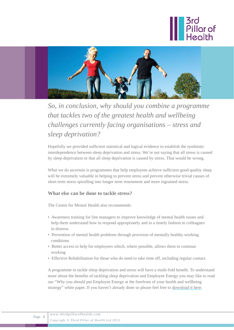



# *So, in conclusion, why should you combine a programme that tackles two of the greatest health and wellbeing challenges currently facing organisations – stress and sleep deprivation?*

Hopefully we provided sufficient statistical and logical evidence to establish the symbiotic interdependence between sleep deprivation and stress. We're not saying that all stress is caused by sleep deprivation or that all sleep deprivation is caused by stress. That would be wrong.

What we do ascertain is programmes that help employees achieve sufficient good quality sleep will be extremely valuable in helping to prevent stress and prevent otherwise trivial causes of short term stress spiralling into longer term resentment and more ingrained stress.

### **What else can be done to tackle stress?**

The Centre for Mental Health also recommends:

- Awareness training for line managers to improve knowledge of mental health issues and help them understand how to respond appropriately and in a timely fashion to colleagues in distress
- Prevention of mental health problems through provision of mentally healthy working conditions
- Better access to help for employees which, where possible, allows them to continue working
- Effective Rehabilitation for those who do need to take time off, including regular contact.

A programme to tackle sleep deprivation and stress will have a multi-fold benefit. To understand more about the benefits of tackling sleep deprivation and Employee Energy you may like to read our "Why you should put Employee Energy at the forefront of your health and wellbeing strategy" white paper. If you haven't already done so please feel free to [download it here.](www.thirdpillarofhealth.com/pages/view/whitepapers)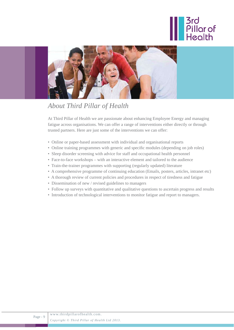



## *About Third Pillar of Health*

At Third Pillar of Health we are passionate about enhancing Employee Energy and managing fatigue across organisations. We can offer a range of interventions either directly or through trusted partners. Here are just some of the interventions we can offer:

- Online or paper-based assessment with individual and organisational reports
- Online training programmes with generic and specific modules (depending on job roles)
- Sleep disorder screening with advice for staff and occupational health personnel
- Face-to-face workshops with an interactive element and tailored to the audience
- Train-the-trainer programmes with supporting (regularly updated) literature
- A comprehensive programme of continuing education (Emails, posters, articles, intranet etc)
- A thorough review of current policies and procedures in respect of tiredness and fatigue
- Dissemination of new / revised guidelines to managers
- Follow up surveys with quantitative and qualitative questions to ascertain progress and results
- Introduction of technological interventions to monitor fatigue and report to managers.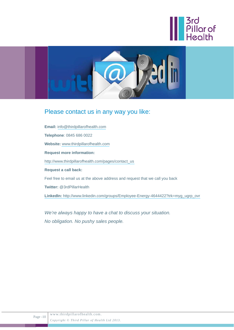



## Please contact us in any way you like:

**Email:** info@thirdpillarofhealth.com **Telephone**: 0845 686 0022 **Website:** www.thirdpillarofhealth.com **Request more information:** http://www.thirdpillarofhealth.com/pages/contact\_us **Request a call back:** Feel free to email us at the above address and request that we call you back **Twitter:** @3rdPillarHealth **LinkedIn:** http://www.linkedin.com/groups/Employee-Energy-4644422?trk=myg\_ugrp\_ovr

*We're always happy to have a chat to discuss your situation. No obligation. No pushy sales people.*